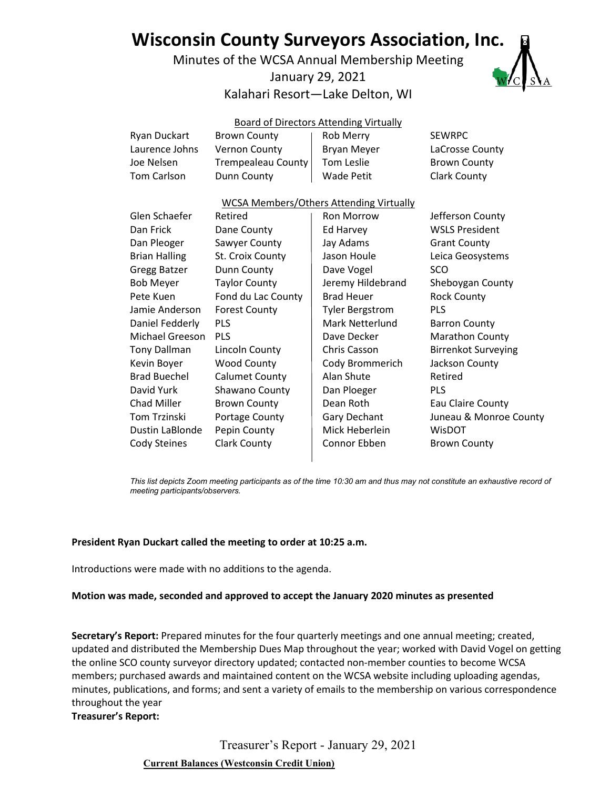# **Wisconsin County Surveyors Association, Inc.**

Minutes of the WCSA Annual Membership Meeting

# January 29, 2021

# Kalahari Resort—Lake Delton, WI



|                        |                       | <b>Board of Directors Attending Virtually</b>  |                            |
|------------------------|-----------------------|------------------------------------------------|----------------------------|
| Ryan Duckart           | <b>Brown County</b>   | Rob Merry                                      | <b>SEWRPC</b>              |
| Laurence Johns         | Vernon County         | Bryan Meyer                                    | LaCrosse County            |
| Joe Nelsen             | Trempealeau County    | Tom Leslie                                     | <b>Brown County</b>        |
| <b>Tom Carlson</b>     | Dunn County           | <b>Wade Petit</b>                              | <b>Clark County</b>        |
|                        |                       | <b>WCSA Members/Others Attending Virtually</b> |                            |
| Glen Schaefer          | Retired               | <b>Ron Morrow</b>                              | Jefferson County           |
| Dan Frick              | Dane County           | Ed Harvey                                      | <b>WSLS President</b>      |
| Dan Pleoger            | Sawyer County         | Jay Adams                                      | <b>Grant County</b>        |
| <b>Brian Halling</b>   | St. Croix County      | Jason Houle                                    | Leica Geosystems           |
| Gregg Batzer           | Dunn County           | Dave Vogel                                     | SCO                        |
| <b>Bob Meyer</b>       | <b>Taylor County</b>  | Jeremy Hildebrand                              | Sheboygan County           |
| Pete Kuen              | Fond du Lac County    | <b>Brad Heuer</b>                              | <b>Rock County</b>         |
| Jamie Anderson         | <b>Forest County</b>  | <b>Tyler Bergstrom</b>                         | <b>PLS</b>                 |
| Daniel Fedderly        | PLS                   | <b>Mark Netterlund</b>                         | <b>Barron County</b>       |
| <b>Michael Greeson</b> | PLS                   | Dave Decker                                    | Marathon County            |
| <b>Tony Dallman</b>    | Lincoln County        | Chris Casson                                   | <b>Birrenkot Surveying</b> |
| Kevin Boyer            | <b>Wood County</b>    | Cody Brommerich                                | Jackson County             |
| <b>Brad Buechel</b>    | <b>Calumet County</b> | Alan Shute                                     | Retired                    |
| David Yurk             | Shawano County        | Dan Ploeger                                    | <b>PLS</b>                 |
| Chad Miller            | <b>Brown County</b>   | Dean Roth                                      | Eau Claire County          |
| Tom Trzinski           | Portage County        | Gary Dechant                                   | Juneau & Monroe County     |
| Dustin LaBlonde        | Pepin County          | Mick Heberlein                                 | WisDOT                     |
| Cody Steines           | <b>Clark County</b>   | Connor Ebben                                   | <b>Brown County</b>        |
|                        |                       |                                                |                            |

*This list depicts Zoom meeting participants as of the time 10:30 am and thus may not constitute an exhaustive record of meeting participants/observers.*

### **President Ryan Duckart called the meeting to order at 10:25 a.m.**

Introductions were made with no additions to the agenda.

### **Motion was made, seconded and approved to accept the January 2020 minutes as presented**

**Secretary's Report:** Prepared minutes for the four quarterly meetings and one annual meeting; created, updated and distributed the Membership Dues Map throughout the year; worked with David Vogel on getting the online SCO county surveyor directory updated; contacted non-member counties to become WCSA members; purchased awards and maintained content on the WCSA website including uploading agendas, minutes, publications, and forms; and sent a variety of emails to the membership on various correspondence throughout the year

**Treasurer's Report:**

Treasurer's Report - January 29, 2021

**Current Balances (Westconsin Credit Union)**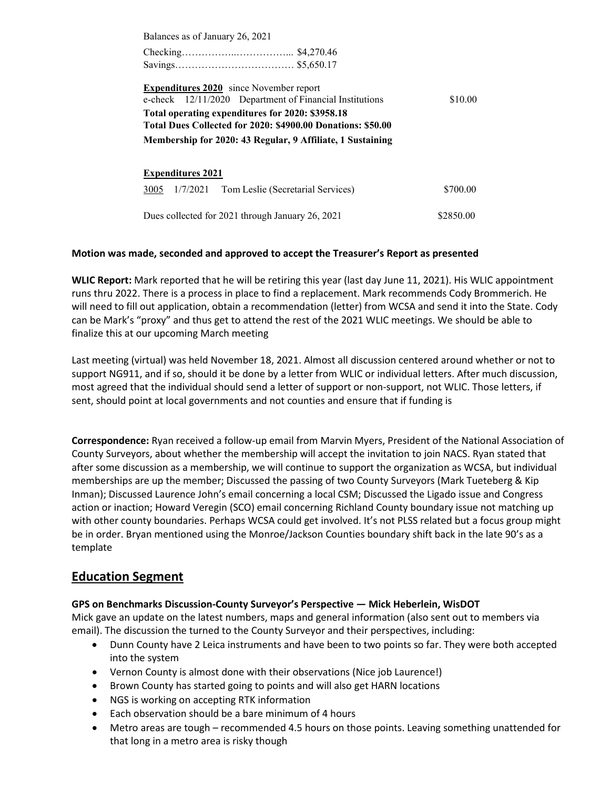Balances as of January 26, 2021

Checking……………..……………... \$4,270.46 Savings……………………………… \$5,650.17

**Expenditures 2020** since November report e-check 12/11/2020 Department of Financial Institutions \$10.00 **Total operating expenditures for 2020: \$3958.18 Total Dues Collected for 2020: \$4900.00 Donations: \$50.00 Membership for 2020: 43 Regular, 9 Affiliate, 1 Sustaining**

| <b>Expenditures 2021</b>                         |           |  |  |
|--------------------------------------------------|-----------|--|--|
| 3005 1/7/2021 Tom Leslie (Secretarial Services)  | \$700.00  |  |  |
| Dues collected for 2021 through January 26, 2021 | \$2850.00 |  |  |

### **Motion was made, seconded and approved to accept the Treasurer's Report as presented**

**WLIC Report:** Mark reported that he will be retiring this year (last day June 11, 2021). His WLIC appointment runs thru 2022. There is a process in place to find a replacement. Mark recommends Cody Brommerich. He will need to fill out application, obtain a recommendation (letter) from WCSA and send it into the State. Cody can be Mark's "proxy" and thus get to attend the rest of the 2021 WLIC meetings. We should be able to finalize this at our upcoming March meeting

Last meeting (virtual) was held November 18, 2021. Almost all discussion centered around whether or not to support NG911, and if so, should it be done by a letter from WLIC or individual letters. After much discussion, most agreed that the individual should send a letter of support or non-support, not WLIC. Those letters, if sent, should point at local governments and not counties and ensure that if funding is

**Correspondence:** Ryan received a follow-up email from Marvin Myers, President of the National Association of County Surveyors, about whether the membership will accept the invitation to join NACS. Ryan stated that after some discussion as a membership, we will continue to support the organization as WCSA, but individual memberships are up the member; Discussed the passing of two County Surveyors (Mark Tueteberg & Kip Inman); Discussed Laurence John's email concerning a local CSM; Discussed the Ligado issue and Congress action or inaction; Howard Veregin (SCO) email concerning Richland County boundary issue not matching up with other county boundaries. Perhaps WCSA could get involved. It's not PLSS related but a focus group might be in order. Bryan mentioned using the Monroe/Jackson Counties boundary shift back in the late 90's as a template

# **Education Segment**

# **GPS on Benchmarks Discussion‐County Surveyor's Perspective — Mick Heberlein, WisDOT**

Mick gave an update on the latest numbers, maps and general information (also sent out to members via email). The discussion the turned to the County Surveyor and their perspectives, including:

- Dunn County have 2 Leica instruments and have been to two points so far. They were both accepted into the system
- Vernon County is almost done with their observations (Nice job Laurence!)
- Brown County has started going to points and will also get HARN locations
- NGS is working on accepting RTK information
- Each observation should be a bare minimum of 4 hours
- Metro areas are tough recommended 4.5 hours on those points. Leaving something unattended for that long in a metro area is risky though